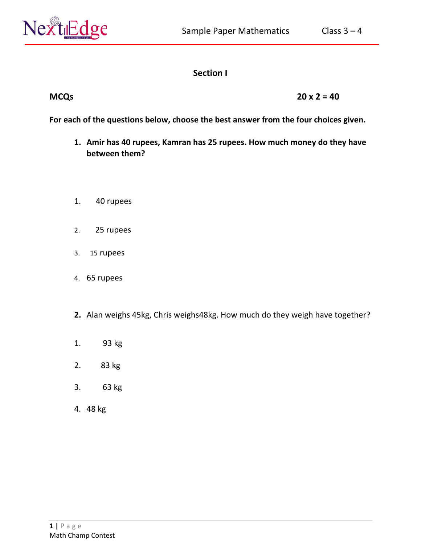

# **Section I**

## **MCQs 20 x 2 = 40**

**For each of the questions below, choose the best answer from the four choices given.**

- **1. Amir has 40 rupees, Kamran has 25 rupees. How much money do they have between them?**
- 1. 40 rupees
- 2. 25 rupees
- 3. 15 rupees
- 4. 65 rupees
- **2.** Alan weighs 45kg, Chris weighs48kg. How much do they weigh have together?
- 1. 93 kg
- 2. 83 kg
- 3. 63 kg
- 4. 48 kg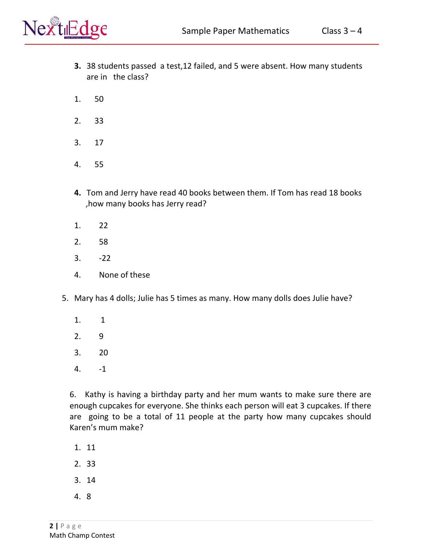

- **3.** 38 students passed a test,12 failed, and 5 were absent. How many students are in the class?
- 1. 50
- 2. 33
- 3. 17
- 4. 55
- **4.** Tom and Jerry have read 40 books between them. If Tom has read 18 books ,how many books has Jerry read?
- 1. 22
- 2. 58
- 3. -22
- 4. None of these
- 5. Mary has 4 dolls; Julie has 5 times as many. How many dolls does Julie have?
	- 1. 1
	- 2. 9
	- 3. 20
	- 4. -1

6. Kathy is having a birthday party and her mum wants to make sure there are enough cupcakes for everyone. She thinks each person will eat 3 cupcakes. If there are going to be a total of 11 people at the party how many cupcakes should Karen's mum make?

- 1. 11
- 2. 33
- 3. 14
- 4. 8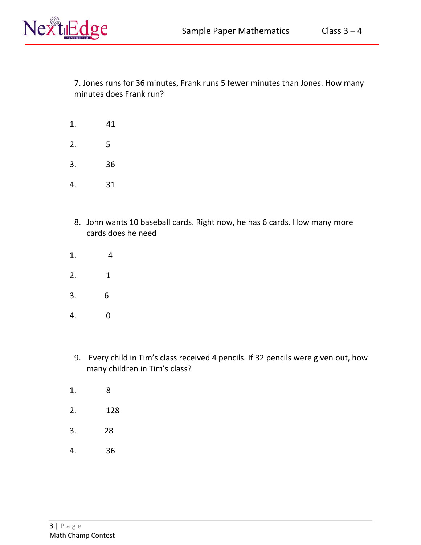

7. Jones runs for 36 minutes, Frank runs 5 fewer minutes than Jones. How many minutes does Frank run?

- 1. 41
- 2. 5
- 3. 36
- 4. 31
- 8. John wants 10 baseball cards. Right now, he has 6 cards. How many more cards does he need
- 1. 4
- 2. 1
- 3. 6
- 4. 0
- 9. Every child in Tim's class received 4 pencils. If 32 pencils were given out, how many children in Tim's class?
- 1. 8
- 2. 128
- 3. 28
- 4. 36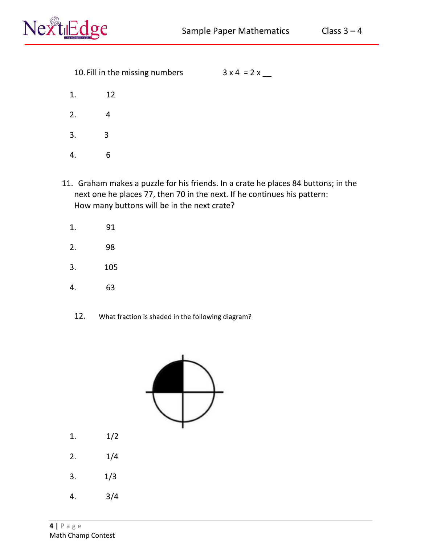

- 1. 12
- 2. 4
- 3. 3
- 4. 6
- 11. Graham makes a puzzle for his friends. In a crate he places 84 buttons; in the next one he places 77, then 70 in the next. If he continues his pattern: How many buttons will be in the next crate?
	- 1. 91
	- 2. 98
	- 3. 105
	- 4. 63
		- 12. What fraction is shaded in the following diagram?



- 1. 1/2
- 2.  $1/4$
- 3. 1/3
- 4. 3/4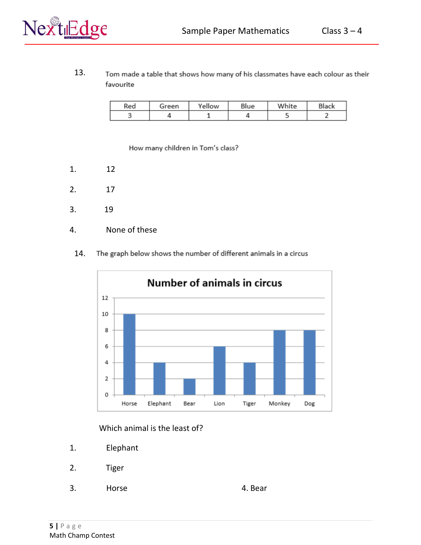13. Tom made a table that shows how many of his classmates have each colour as their favourite

| Red | Green | Yellow | Blue | White | Black |
|-----|-------|--------|------|-------|-------|
|     |       |        |      |       |       |

How many children in Tom's class?

- 1. 12
- 2. 17
- 3. 19
- 4. None of these
	- The graph below shows the number of different animals in a circus 14.



#### Which animal is the least of?

- 1. Elephant
- 2. Tiger
- 3. Horse 4. Bear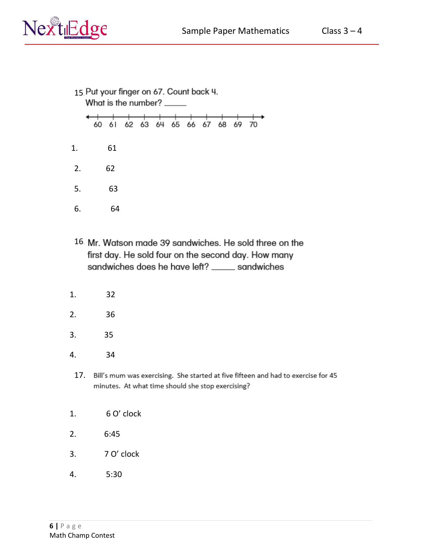

- 15 Put your finger on 67. Count back 4.<br>What is the number? \_\_\_\_\_ 60 61 62 63 64 65 66 67 68 69 70 1. 61 2. 62 5. 63 6. 64
- 16 Mr. Watson made 39 sandwiches. He sold three on the first day. He sold four on the second day. How many sandwiches does he have left? \_\_\_\_\_ sandwiches
- 1. 32
- 2. 36
- 3. 35
- 4. 34
	- 17. Bill's mum was exercising. She started at five fifteen and had to exercise for 45 minutes. At what time should she stop exercising?
- 1. 6 O' clock
- 2. 6:45
- 3. 7 O' clock
- 4. 5:30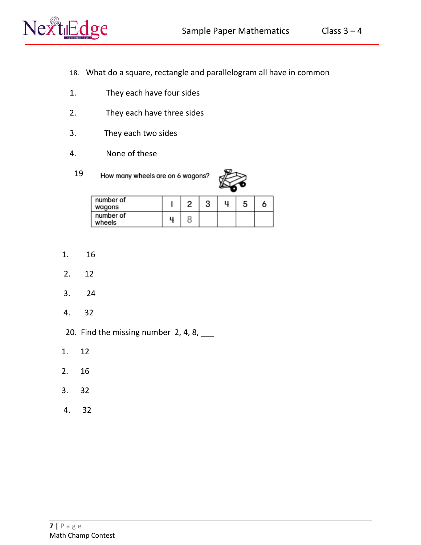

- 18. What do a square, rectangle and parallelogram all have in common
- 1. They each have four sides
- 2. They each have three sides
- 3. They each two sides
- 4. None of these
	- 19. How many wheels are on 6 wagons?



| number of<br>wagons |  |  |  |
|---------------------|--|--|--|
| number of<br>wheels |  |  |  |

- 1. 16
- 2. 12
- 3. 24
- 4. 32
- 20. Find the missing number 2, 4, 8,  $\frac{1}{2}$
- 1. 12
- 2. 16
- 3. 32
- 4. 32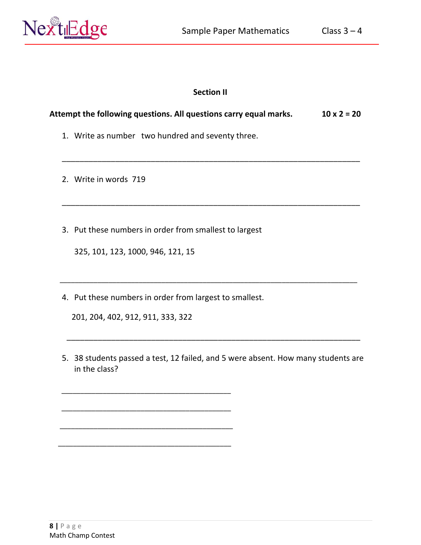

### **Section II**

\_\_\_\_\_\_\_\_\_\_\_\_\_\_\_\_\_\_\_\_\_\_\_\_\_\_\_\_\_\_\_\_\_\_\_\_\_\_\_\_\_\_\_\_\_\_\_\_\_\_\_\_\_\_\_\_\_\_\_\_\_\_\_\_\_\_\_

\_\_\_\_\_\_\_\_\_\_\_\_\_\_\_\_\_\_\_\_\_\_\_\_\_\_\_\_\_\_\_\_\_\_\_\_\_\_\_\_\_\_\_\_\_\_\_\_\_\_\_\_\_\_\_\_\_\_\_\_\_\_\_\_\_\_\_

\_\_\_\_\_\_\_\_\_\_\_\_\_\_\_\_\_\_\_\_\_\_\_\_\_\_\_\_\_\_\_\_\_\_\_\_\_\_\_\_\_\_\_\_\_\_\_\_\_\_\_\_\_\_\_\_\_\_\_\_\_\_\_\_\_\_\_\_\_\_\_\_\_\_\_\_\_\_\_

 $\overline{\phantom{a}}$  , and the contribution of the contribution of the contribution of the contribution of the contribution of the contribution of the contribution of the contribution of the contribution of the contribution of the

## **Attempt the following questions. All questions carry equal marks. 10 x 2 = 20**

- 1. Write as number two hundred and seventy three.
- 2. Write in words 719
- 3. Put these numbers in order from smallest to largest

325, 101, 123, 1000, 946, 121, 15

4. Put these numbers in order from largest to smallest.

201, 204, 402, 912, 911, 333, 322

\_\_\_\_\_\_\_\_\_\_\_\_\_\_\_\_\_\_\_\_\_\_\_\_\_\_\_\_\_\_\_\_\_\_\_\_\_\_\_\_\_\_\_\_\_

\_\_\_\_\_\_\_\_\_\_\_\_\_\_\_\_\_\_\_\_\_\_\_\_\_\_\_\_\_\_\_\_\_\_\_\_\_\_\_\_\_\_\_\_\_

\_\_\_\_\_\_\_\_\_\_\_\_\_\_\_\_\_\_\_\_\_\_\_\_\_\_\_\_\_\_\_\_\_\_\_\_\_\_\_\_\_\_\_\_\_\_

\_\_\_\_\_\_\_\_\_\_\_\_\_\_\_\_\_\_\_\_\_\_\_\_\_\_\_\_\_\_\_\_\_\_\_\_\_\_\_\_\_\_\_\_\_\_

5. 38 students passed a test, 12 failed, and 5 were absent. How many students are in the class?

**8 |** P a g e Math Champ Contest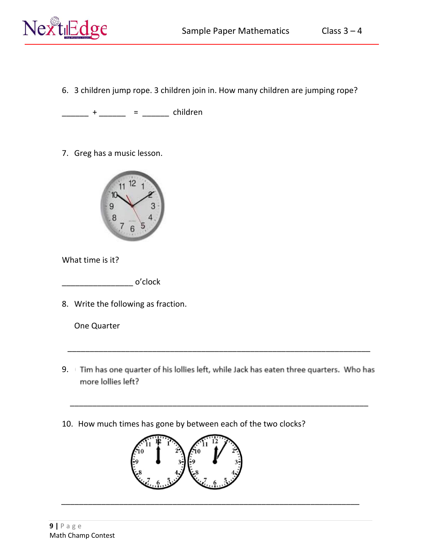

6. 3 children jump rope. 3 children join in. How many children are jumping rope?

\_\_\_\_\_\_\_ + \_\_\_\_\_\_ = \_\_\_\_\_\_ children

7. Greg has a music lesson.



What time is it?

 $\overline{\mathsf{p}}$  o'clock

8. Write the following as fraction.

One Quarter

9. Tim has one quarter of his lollies left, while Jack has eaten three quarters. Who has more lollies left?

\_\_\_\_\_\_\_\_\_\_\_\_\_\_\_\_\_\_\_\_\_\_\_\_\_\_\_\_\_\_\_\_\_\_\_\_\_\_\_\_\_\_\_\_\_\_\_\_\_\_\_\_\_\_\_\_\_\_\_\_\_\_\_\_\_\_\_

\_\_\_\_\_\_\_\_\_\_\_\_\_\_\_\_\_\_\_\_\_\_\_\_\_\_\_\_\_\_\_\_\_\_\_\_\_\_\_\_\_\_\_\_\_\_\_\_\_\_\_\_\_\_\_\_\_\_\_\_\_\_\_\_\_\_\_

\_\_\_\_\_\_\_\_\_\_\_\_\_\_\_\_\_\_\_\_\_\_\_\_\_\_\_\_\_\_\_\_\_\_\_\_\_\_\_\_\_\_\_\_\_\_\_\_\_\_\_\_\_\_\_\_\_\_\_\_\_\_\_\_\_\_\_\_

10. How much times has gone by between each of the two clocks?

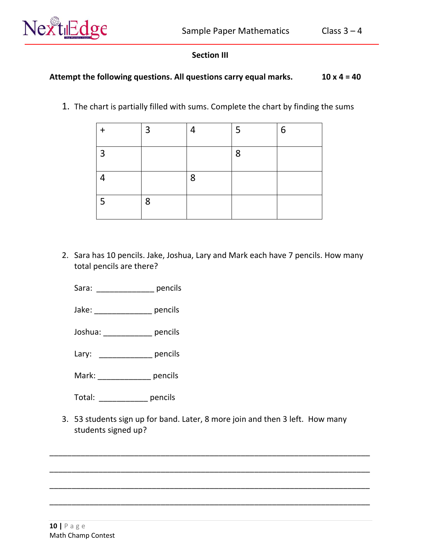

# **Section III**

# Attempt the following questions. All questions carry equal marks. 10 x 4 = 40

1. The chart is partially filled with sums. Complete the chart by finding the sums

|                | $\overline{3}$ | 4 | 5 | 6 |
|----------------|----------------|---|---|---|
| $\overline{3}$ |                |   | 8 |   |
| 4              |                | 8 |   |   |
| 5              | 8              |   |   |   |

2. Sara has 10 pencils. Jake, Joshua, Lary and Mark each have 7 pencils. How many total pencils are there?

Sara: **DEPAPA pencils** 

Jake: pencils

Joshua: \_\_\_\_\_\_\_\_\_\_\_ pencils

Lary: \_\_\_\_\_\_\_\_\_\_\_\_\_\_ pencils

Mark: \_\_\_\_\_\_\_\_\_\_\_\_ pencils

Total: pencils

3. 53 students sign up for band. Later, 8 more join and then 3 left. How many students signed up?

\_\_\_\_\_\_\_\_\_\_\_\_\_\_\_\_\_\_\_\_\_\_\_\_\_\_\_\_\_\_\_\_\_\_\_\_\_\_\_\_\_\_\_\_\_\_\_\_\_\_\_\_\_\_\_\_\_\_\_\_\_\_\_\_\_\_\_\_\_\_\_\_

\_\_\_\_\_\_\_\_\_\_\_\_\_\_\_\_\_\_\_\_\_\_\_\_\_\_\_\_\_\_\_\_\_\_\_\_\_\_\_\_\_\_\_\_\_\_\_\_\_\_\_\_\_\_\_\_\_\_\_\_\_\_\_\_\_\_\_\_\_\_\_\_

\_\_\_\_\_\_\_\_\_\_\_\_\_\_\_\_\_\_\_\_\_\_\_\_\_\_\_\_\_\_\_\_\_\_\_\_\_\_\_\_\_\_\_\_\_\_\_\_\_\_\_\_\_\_\_\_\_\_\_\_\_\_\_\_\_\_\_\_\_\_\_\_

\_\_\_\_\_\_\_\_\_\_\_\_\_\_\_\_\_\_\_\_\_\_\_\_\_\_\_\_\_\_\_\_\_\_\_\_\_\_\_\_\_\_\_\_\_\_\_\_\_\_\_\_\_\_\_\_\_\_\_\_\_\_\_\_\_\_\_\_\_\_\_\_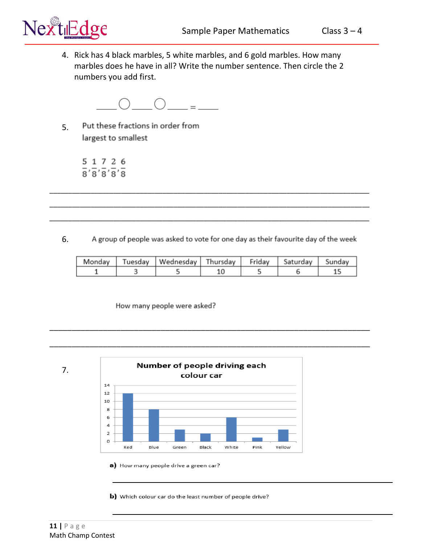4. Rick has 4 black marbles, 5 white marbles, and 6 gold marbles. How many marbles does he have in all? Write the number sentence. Then circle the 2 numbers you add first.



Put these fractions in order from 5. largest to smallest

> 5 1 7 2 6  $\overline{8}'\overline{8}'\overline{8}'\overline{8}'\overline{8}'\overline{8}$

A group of people was asked to vote for one day as their favourite day of the week 6.

\_\_\_\_\_\_\_\_\_\_\_\_\_\_\_\_\_\_\_\_\_\_\_\_\_\_\_\_\_\_\_\_\_\_\_\_\_\_\_\_\_\_\_\_\_\_\_\_\_\_\_\_\_\_\_\_\_\_\_\_\_\_\_\_\_\_\_\_\_\_\_\_

\_\_\_\_\_\_\_\_\_\_\_\_\_\_\_\_\_\_\_\_\_\_\_\_\_\_\_\_\_\_\_\_\_\_\_\_\_\_\_\_\_\_\_\_\_\_\_\_\_\_\_\_\_\_\_\_\_\_\_\_\_\_\_\_\_\_\_\_\_\_\_\_

\_\_\_\_\_\_\_\_\_\_\_\_\_\_\_\_\_\_\_\_\_\_\_\_\_\_\_\_\_\_\_\_\_\_\_\_\_\_\_\_\_\_\_\_\_\_\_\_\_\_\_\_\_\_\_\_\_\_\_\_\_\_\_\_\_\_\_\_\_\_\_\_\_\_\_\_\_\_\_\_\_\_\_\_\_

\_\_\_\_\_\_\_\_\_\_\_\_\_\_\_\_\_\_\_\_\_\_\_\_\_\_\_\_\_\_\_\_\_\_\_\_\_\_\_\_\_\_\_\_\_\_\_\_\_\_\_\_\_\_\_\_\_\_\_\_\_\_\_\_\_\_\_\_\_\_\_\_\_\_\_\_\_\_\_\_\_\_\_\_\_

\_\_\_\_\_\_\_\_\_\_\_\_\_\_\_\_\_\_\_\_\_\_\_\_\_\_\_\_\_\_\_\_\_\_\_\_\_\_\_\_\_\_\_\_\_\_\_\_\_\_\_\_\_\_\_\_\_\_\_\_\_\_\_\_\_\_\_\_\_\_\_\_\_\_\_\_\_\_\_\_\_\_\_\_\_

|  | Monday   Tuesday   Wednesday   Thursday   Friday   Saturday   Sunday |  |  |
|--|----------------------------------------------------------------------|--|--|
|  |                                                                      |  |  |

How many people were asked?



a) How many people drive a green car?

b) Which colour car do the least number of people drive?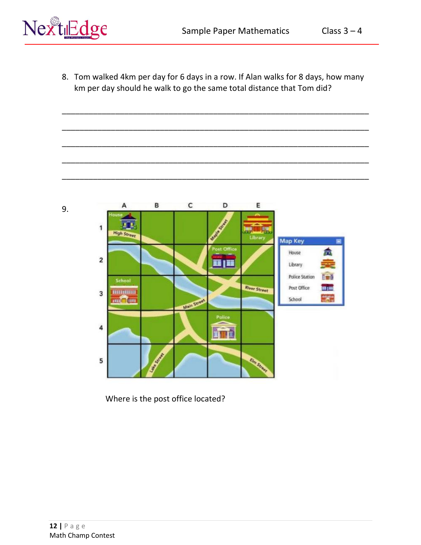

8. Tom walked 4km per day for 6 days in a row. If Alan walks for 8 days, how many km per day should he walk to go the same total distance that Tom did?

\_\_\_\_\_\_\_\_\_\_\_\_\_\_\_\_\_\_\_\_\_\_\_\_\_\_\_\_\_\_\_\_\_\_\_\_\_\_\_\_\_\_\_\_\_\_\_\_\_\_\_\_\_\_\_\_\_\_\_\_\_\_\_\_\_\_\_\_\_

\_\_\_\_\_\_\_\_\_\_\_\_\_\_\_\_\_\_\_\_\_\_\_\_\_\_\_\_\_\_\_\_\_\_\_\_\_\_\_\_\_\_\_\_\_\_\_\_\_\_\_\_\_\_\_\_\_\_\_\_\_\_\_\_\_\_\_\_\_

\_\_\_\_\_\_\_\_\_\_\_\_\_\_\_\_\_\_\_\_\_\_\_\_\_\_\_\_\_\_\_\_\_\_\_\_\_\_\_\_\_\_\_\_\_\_\_\_\_\_\_\_\_\_\_\_\_\_\_\_\_\_\_\_\_\_\_\_\_

\_\_\_\_\_\_\_\_\_\_\_\_\_\_\_\_\_\_\_\_\_\_\_\_\_\_\_\_\_\_\_\_\_\_\_\_\_\_\_\_\_\_\_\_\_\_\_\_\_\_\_\_\_\_\_\_\_\_\_\_\_\_\_\_\_\_\_\_\_

\_\_\_\_\_\_\_\_\_\_\_\_\_\_\_\_\_\_\_\_\_\_\_\_\_\_\_\_\_\_\_\_\_\_\_\_\_\_\_\_\_\_\_\_\_\_\_\_\_\_\_\_\_\_\_\_\_\_\_\_\_\_\_\_\_\_\_\_\_



Where is the post office located?